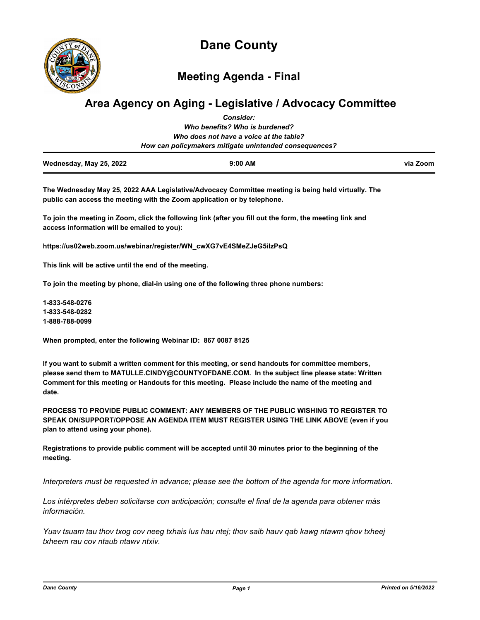

**Meeting Agenda - Final**

# **Area Agency on Aging - Legislative / Advocacy Committee** *Consider:*

|                         | <b>00000000</b>                                        |          |
|-------------------------|--------------------------------------------------------|----------|
|                         | Who benefits? Who is burdened?                         |          |
|                         | Who does not have a voice at the table?                |          |
|                         | How can policymakers mitigate unintended consequences? |          |
| Wednesday, May 25, 2022 | $9:00$ AM                                              | via Zoom |

**The Wednesday May 25, 2022 AAA Legislative/Advocacy Committee meeting is being held virtually. The public can access the meeting with the Zoom application or by telephone.** 

**To join the meeting in Zoom, click the following link (after you fill out the form, the meeting link and access information will be emailed to you):** 

**https://us02web.zoom.us/webinar/register/WN\_cwXG7vE4SMeZJeG5iIzPsQ**

**This link will be active until the end of the meeting.** 

**To join the meeting by phone, dial-in using one of the following three phone numbers:** 

**1-833-548-0276 1-833-548-0282 1-888-788-0099**

**When prompted, enter the following Webinar ID: 867 0087 8125**

**If you want to submit a written comment for this meeting, or send handouts for committee members, please send them to MATULLE.CINDY@COUNTYOFDANE.COM. In the subject line please state: Written Comment for this meeting or Handouts for this meeting. Please include the name of the meeting and date.**

**PROCESS TO PROVIDE PUBLIC COMMENT: ANY MEMBERS OF THE PUBLIC WISHING TO REGISTER TO SPEAK ON/SUPPORT/OPPOSE AN AGENDA ITEM MUST REGISTER USING THE LINK ABOVE (even if you plan to attend using your phone).** 

**Registrations to provide public comment will be accepted until 30 minutes prior to the beginning of the meeting.**

*Interpreters must be requested in advance; please see the bottom of the agenda for more information.*

*Los intérpretes deben solicitarse con anticipación; consulte el final de la agenda para obtener más información.*

*Yuav tsuam tau thov txog cov neeg txhais lus hau ntej; thov saib hauv qab kawg ntawm qhov txheej txheem rau cov ntaub ntawv ntxiv.*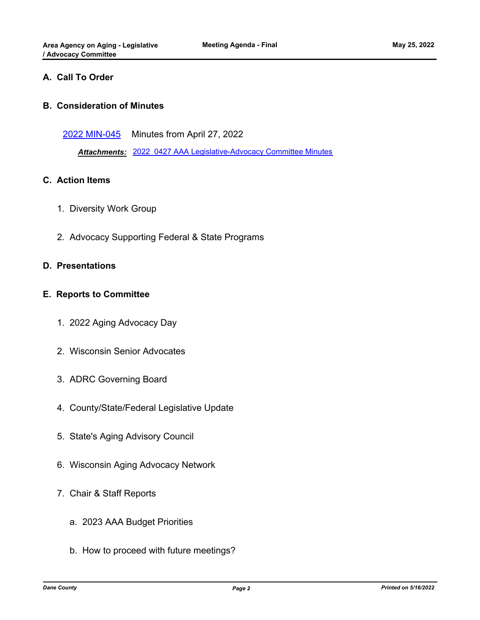# **A. Call To Order**

## **B. Consideration of Minutes**

[2022 MIN-045](http://dane.legistar.com/gateway.aspx?m=l&id=/matter.aspx?key=22858) Minutes from April 27, 2022

*Attachments:* [2022\\_0427 AAA Legislative-Advocacy Committee Minutes](http://dane.legistar.com/gateway.aspx?M=F&ID=5f5e9b51-426d-40af-878c-3412fc6e4035.pdf)

### **C. Action Items**

- 1. Diversity Work Group
- 2. Advocacy Supporting Federal & State Programs

### **D. Presentations**

### **E. Reports to Committee**

- 1. 2022 Aging Advocacy Day
- 2. Wisconsin Senior Advocates
- 3. ADRC Governing Board
- 4. County/State/Federal Legislative Update
- 5. State's Aging Advisory Council
- 6. Wisconsin Aging Advocacy Network
- 7. Chair & Staff Reports
	- a. 2023 AAA Budget Priorities
	- b. How to proceed with future meetings?